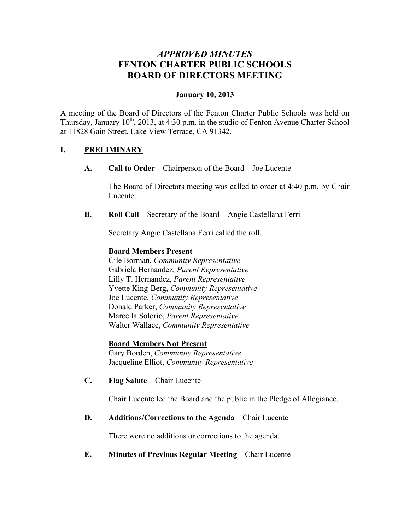# *APPROVED MINUTES* **FENTON CHARTER PUBLIC SCHOOLS BOARD OF DIRECTORS MEETING**

## **January 10, 2013**

A meeting of the Board of Directors of the Fenton Charter Public Schools was held on Thursday, January  $10^{th}$ , 2013, at 4:30 p.m. in the studio of Fenton Avenue Charter School at 11828 Gain Street, Lake View Terrace, CA 91342.

## **I. PRELIMINARY**

**A. Call to Order –** Chairperson of the Board – Joe Lucente

The Board of Directors meeting was called to order at 4:40 p.m. by Chair Lucente.

**B. Roll Call** – Secretary of the Board – Angie Castellana Ferri

Secretary Angie Castellana Ferri called the roll.

#### **Board Members Present**

Cile Borman, *Community Representative* Gabriela Hernandez, *Parent Representative* Lilly T. Hernandez, *Parent Representative* Yvette King-Berg, *Community Representative* Joe Lucente, *Community Representative* Donald Parker, *Community Representative* Marcella Solorio, *Parent Representative* Walter Wallace, *Community Representative*

#### **Board Members Not Present**

Gary Borden, *Community Representative* Jacqueline Elliot, *Community Representative*

**C. Flag Salute** – Chair Lucente

Chair Lucente led the Board and the public in the Pledge of Allegiance.

#### **D. Additions/Corrections to the Agenda** – Chair Lucente

There were no additions or corrections to the agenda.

# **E. Minutes of Previous Regular Meeting – Chair Lucente**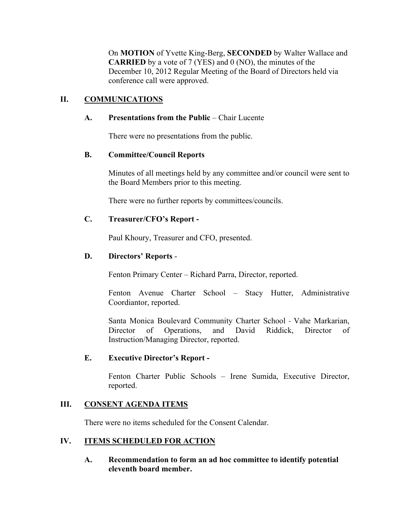On **MOTION** of Yvette King-Berg, **SECONDED** by Walter Wallace and **CARRIED** by a vote of 7 (YES) and 0 (NO), the minutes of the December 10, 2012 Regular Meeting of the Board of Directors held via conference call were approved.

# **II. COMMUNICATIONS**

## **A. Presentations from the Public** – Chair Lucente

There were no presentations from the public.

## **B. Committee/Council Reports**

Minutes of all meetings held by any committee and/or council were sent to the Board Members prior to this meeting.

There were no further reports by committees/councils.

# **C. Treasurer/CFO's Report -**

Paul Khoury, Treasurer and CFO, presented.

## **D. Directors' Reports** -

Fenton Primary Center – Richard Parra, Director, reported.

Fenton Avenue Charter School – Stacy Hutter, Administrative Coordiantor, reported.

Santa Monica Boulevard Community Charter School - Vahe Markarian, Director of Operations, and David Riddick, Director of Instruction/Managing Director, reported.

#### **E. Executive Director's Report -**

Fenton Charter Public Schools – Irene Sumida, Executive Director, reported.

# **III. CONSENT AGENDA ITEMS**

There were no items scheduled for the Consent Calendar.

# **IV. ITEMS SCHEDULED FOR ACTION**

**A. Recommendation to form an ad hoc committee to identify potential eleventh board member.**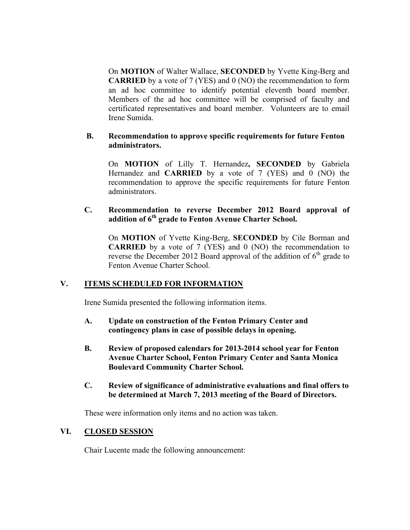On **MOTION** of Walter Wallace, **SECONDED** by Yvette King-Berg and **CARRIED** by a vote of 7 (YES) and 0 (NO) the recommendation to form an ad hoc committee to identify potential eleventh board member. Members of the ad hoc committee will be comprised of faculty and certificated representatives and board member. Volunteers are to email Irene Sumida.

#### **B. Recommendation to approve specific requirements for future Fenton administrators.**

On **MOTION** of Lilly T. Hernandez**, SECONDED** by Gabriela Hernandez and **CARRIED** by a vote of 7 (YES) and 0 (NO) the recommendation to approve the specific requirements for future Fenton administrators.

## **C. Recommendation to reverse December 2012 Board approval of addition of 6th grade to Fenton Avenue Charter School.**

On **MOTION** of Yvette King-Berg, **SECONDED** by Cile Borman and **CARRIED** by a vote of 7 (YES) and 0 (NO) the recommendation to reverse the December 2012 Board approval of the addition of  $6<sup>th</sup>$  grade to Fenton Avenue Charter School.

# **V. ITEMS SCHEDULED FOR INFORMATION**

Irene Sumida presented the following information items.

- **A. Update on construction of the Fenton Primary Center and contingency plans in case of possible delays in opening.**
- **B. Review of proposed calendars for 2013-2014 school year for Fenton Avenue Charter School, Fenton Primary Center and Santa Monica Boulevard Community Charter School.**
- **C. Review of significance of administrative evaluations and final offers to be determined at March 7, 2013 meeting of the Board of Directors.**

These were information only items and no action was taken.

# **VI. CLOSED SESSION**

Chair Lucente made the following announcement: